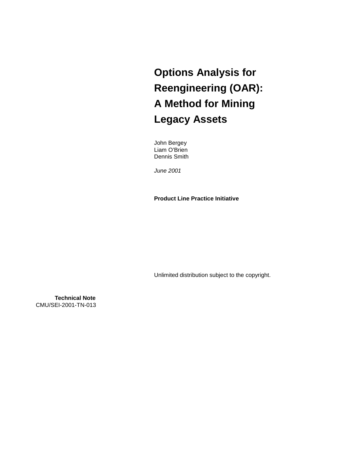**Options Analysis for Reengineering (OAR): A Method for Mining Legacy Assets**

John Bergey Liam O'Brien Dennis Smith

*June 2001* 

**Product Line Practice Initiative** 

Unlimited distribution subject to the copyright.

**Technical Note** CMU/SEI-2001-TN-013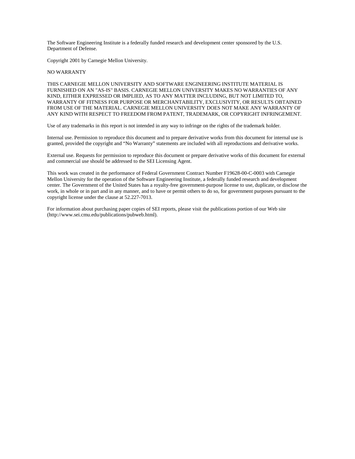The Software Engineering Institute is a federally funded research and development center sponsored by the U.S. Department of Defense.

Copyright 2001 by Carnegie Mellon University.

#### NO WARRANTY

THIS CARNEGIE MELLON UNIVERSITY AND SOFTWARE ENGINEERING INSTITUTE MATERIAL IS FURNISHED ON AN "AS-IS" BASIS. CARNEGIE MELLON UNIVERSITY MAKES NO WARRANTIES OF ANY KIND, EITHER EXPRESSED OR IMPLIED, AS TO ANY MATTER INCLUDING, BUT NOT LIMITED TO, WARRANTY OF FITNESS FOR PURPOSE OR MERCHANTABILITY, EXCLUSIVITY, OR RESULTS OBTAINED FROM USE OF THE MATERIAL. CARNEGIE MELLON UNIVERSITY DOES NOT MAKE ANY WARRANTY OF ANY KIND WITH RESPECT TO FREEDOM FROM PATENT, TRADEMARK, OR COPYRIGHT INFRINGEMENT.

Use of any trademarks in this report is not intended in any way to infringe on the rights of the trademark holder.

Internal use. Permission to reproduce this document and to prepare derivative works from this document for internal use is granted, provided the copyright and "No Warranty" statements are included with all reproductions and derivative works.

External use. Requests for permission to reproduce this document or prepare derivative works of this document for external and commercial use should be addressed to the SEI Licensing Agent.

This work was created in the performance of Federal Government Contract Number F19628-00-C-0003 with Carnegie Mellon University for the operation of the Software Engineering Institute, a federally funded research and development center. The Government of the United States has a royalty-free government-purpose license to use, duplicate, or disclose the work, in whole or in part and in any manner, and to have or permit others to do so, for government purposes pursuant to the copyright license under the clause at 52.227-7013.

For information about purchasing paper copies of SEI reports, please visit the publications portion of our Web site (http://www.sei.cmu.edu/publications/pubweb.html).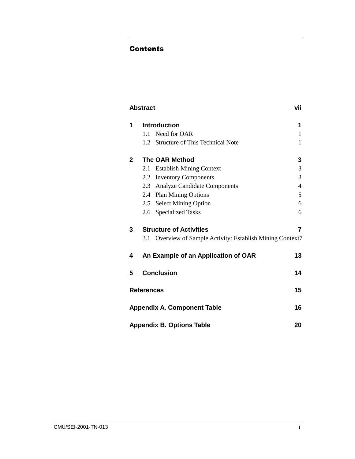#### Contents

|              | <b>Abstract</b>   |                                                        | vii |
|--------------|-------------------|--------------------------------------------------------|-----|
| 1            |                   | <b>Introduction</b>                                    | 1   |
|              | 1.1               | Need for OAR                                           | 1   |
|              |                   | 1.2 Structure of This Technical Note                   | 1   |
| $\mathbf{2}$ |                   | <b>The OAR Method</b>                                  | 3   |
|              | 2.1               | <b>Establish Mining Context</b>                        | 3   |
|              | 2.2               | <b>Inventory Components</b>                            | 3   |
|              |                   | 2.3 Analyze Candidate Components                       | 4   |
|              |                   | 2.4 Plan Mining Options                                | 5   |
|              |                   | 2.5 Select Mining Option                               | 6   |
|              | 2.6               | <b>Specialized Tasks</b>                               | 6   |
| 3            |                   | <b>Structure of Activities</b>                         | 7   |
|              | 3.1               | Overview of Sample Activity: Establish Mining Context7 |     |
| 4            |                   | An Example of an Application of OAR                    | 13  |
| 5            |                   | <b>Conclusion</b>                                      | 14  |
|              | <b>References</b> |                                                        | 15  |
|              |                   | <b>Appendix A. Component Table</b>                     | 16  |
|              |                   | <b>Appendix B. Options Table</b>                       | 20  |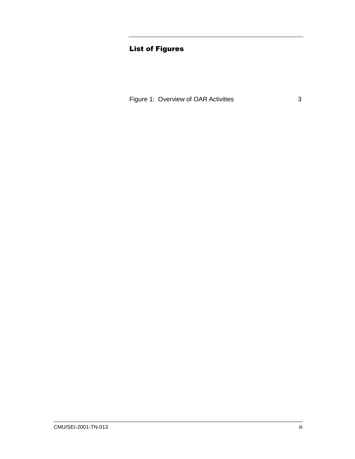### **List of Figures**

Figure 1: Overview of OAR Activities 3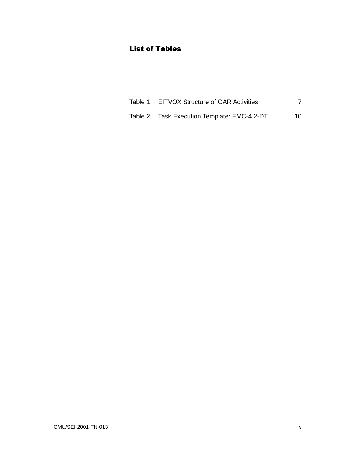## **List of Tables**

| Table 1: EITVOX Structure of OAR Activities  |     |
|----------------------------------------------|-----|
| Table 2: Task Execution Template: EMC-4.2-DT | 10. |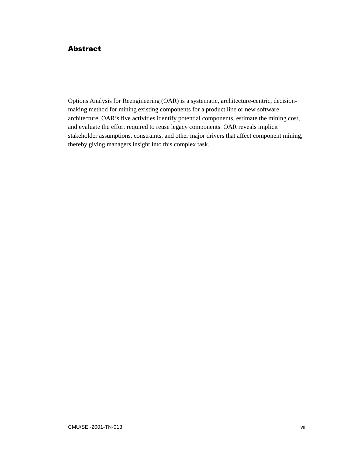## **Abstract**

Options Analysis for Reengineering (OAR) is a systematic, architecture-centric, decisionmaking method for mining existing components for a product line or new software architecture. OAR's five activities identify potential components, estimate the mining cost, and evaluate the effort required to reuse legacy components. OAR reveals implicit stakeholder assumptions, constraints, and other major drivers that affect component mining, thereby giving managers insight into this complex task.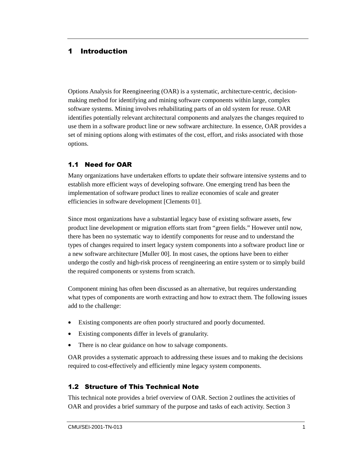### 1 Introduction

Options Analysis for Reengineering (OAR) is a systematic, architecture-centric, decisionmaking method for identifying and mining software components within large, complex software systems. Mining involves rehabilitating parts of an old system for reuse. OAR identifies potentially relevant architectural components and analyzes the changes required to use them in a software product line or new software architecture. In essence, OAR provides a set of mining options along with estimates of the cost, effort, and risks associated with those options.

### 1.1 Need for OAR

Many organizations have undertaken efforts to update their software intensive systems and to establish more efficient ways of developing software. One emerging trend has been the implementation of software product lines to realize economies of scale and greater efficiencies in software development [Clements 01].

Since most organizations have a substantial legacy base of existing software assets, few product line development or migration efforts start from "green fields." However until now, there has been no systematic way to identify components for reuse and to understand the types of changes required to insert legacy system components into a software product line or a new software architecture [Muller 00]. In most cases, the options have been to either undergo the costly and high-risk process of reengineering an entire system or to simply build the required components or systems from scratch.

Component mining has often been discussed as an alternative, but requires understanding what types of components are worth extracting and how to extract them. The following issues add to the challenge:

- Existing components are often poorly structured and poorly documented.
- Existing components differ in levels of granularity.
- There is no clear guidance on how to salvage components.

OAR provides a systematic approach to addressing these issues and to making the decisions required to cost-effectively and efficiently mine legacy system components.

### 1.2 Structure of This Technical Note

This technical note provides a brief overview of OAR. Section 2 outlines the activities of OAR and provides a brief summary of the purpose and tasks of each activity. Section 3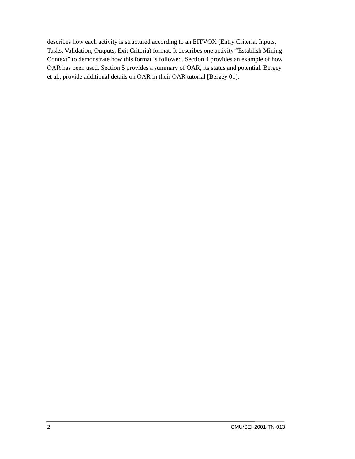describes how each activity is structured according to an EITVOX (Entry Criteria, Inputs, Tasks, Validation, Outputs, Exit Criteria) format. It describes one activity "Establish Mining Context" to demonstrate how this format is followed. Section 4 provides an example of how OAR has been used. Section 5 provides a summary of OAR, its status and potential. Bergey et al., provide additional details on OAR in their OAR tutorial [Bergey 01].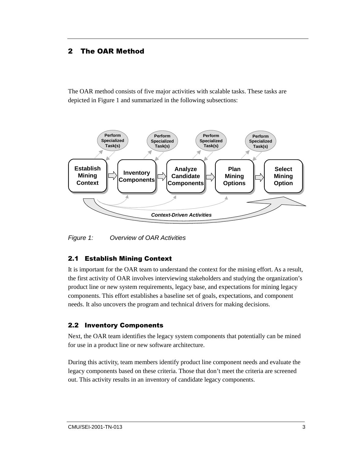# 2 The OAR Method

The OAR method consists of five major activities with scalable tasks. These tasks are depicted in Figure 1 and summarized in the following subsections:



*Figure 1: Overview of OAR Activities* 

### 2.1 Establish Mining Context

It is important for the OAR team to understand the context for the mining effort. As a result, the first activity of OAR involves interviewing stakeholders and studying the organization's product line or new system requirements, legacy base, and expectations for mining legacy components. This effort establishes a baseline set of goals, expectations, and component needs. It also uncovers the program and technical drivers for making decisions.

### 2.2 Inventory Components

Next, the OAR team identifies the legacy system components that potentially can be mined for use in a product line or new software architecture.

During this activity, team members identify product line component needs and evaluate the legacy components based on these criteria. Those that don't meet the criteria are screened out. This activity results in an inventory of candidate legacy components.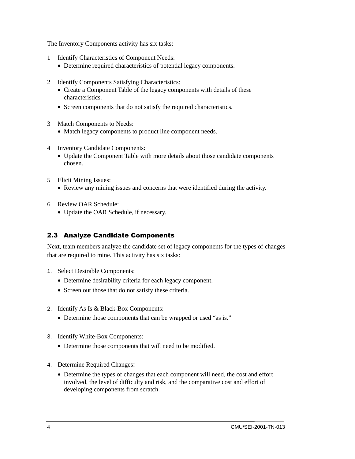The Inventory Components activity has six tasks:

- 1 Identify Characteristics of Component Needs:
	- Determine required characteristics of potential legacy components.
- 2 Identify Components Satisfying Characteristics:
	- Create a Component Table of the legacy components with details of these characteristics.
	- Screen components that do not satisfy the required characteristics.
- 3 Match Components to Needs:
	- Match legacy components to product line component needs.
- 4 Inventory Candidate Components:
	- Update the Component Table with more details about those candidate components chosen.
- 5 Elicit Mining Issues:
	- Review any mining issues and concerns that were identified during the activity.
- 6 Review OAR Schedule:
	- Update the OAR Schedule, if necessary.

### 2.3 Analyze Candidate Components

Next, team members analyze the candidate set of legacy components for the types of changes that are required to mine. This activity has six tasks:

- 1. Select Desirable Components:
	- Determine desirability criteria for each legacy component.
	- Screen out those that do not satisfy these criteria.
- 2. Identify As Is & Black-Box Components:
	- Determine those components that can be wrapped or used "as is."
- 3. Identify White-Box Components:
	- Determine those components that will need to be modified.
- 4. Determine Required Changes:
	- Determine the types of changes that each component will need, the cost and effort involved, the level of difficulty and risk, and the comparative cost and effort of developing components from scratch.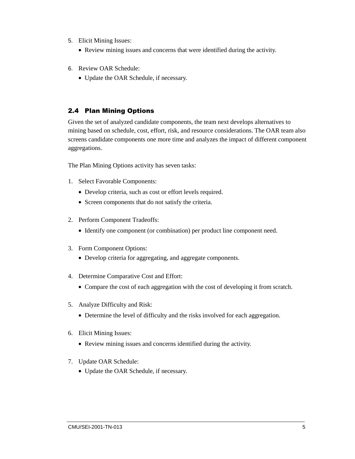- 5. Elicit Mining Issues:
	- Review mining issues and concerns that were identified during the activity.
- 6. Review OAR Schedule:
	- Update the OAR Schedule, if necessary.

#### 2.4 Plan Mining Options

Given the set of analyzed candidate components, the team next develops alternatives to mining based on schedule, cost, effort, risk, and resource considerations. The OAR team also screens candidate components one more time and analyzes the impact of different component aggregations.

The Plan Mining Options activity has seven tasks:

- 1. Select Favorable Components:
	- Develop criteria, such as cost or effort levels required.
	- Screen components that do not satisfy the criteria.
- 2. Perform Component Tradeoffs:
	- Identify one component (or combination) per product line component need.
- 3. Form Component Options:
	- Develop criteria for aggregating, and aggregate components.
- 4. Determine Comparative Cost and Effort:
	- Compare the cost of each aggregation with the cost of developing it from scratch.
- 5. Analyze Difficulty and Risk:
	- Determine the level of difficulty and the risks involved for each aggregation.
- 6. Elicit Mining Issues:
	- Review mining issues and concerns identified during the activity.
- 7. Update OAR Schedule:
	- Update the OAR Schedule, if necessary.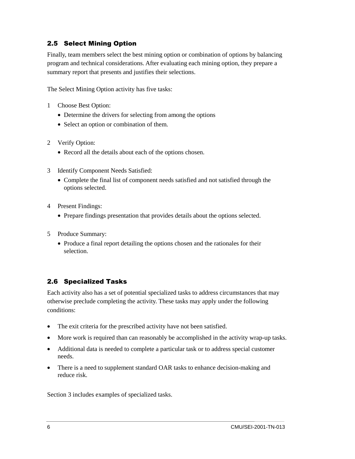#### 2.5 Select Mining Option

Finally, team members select the best mining option or combination of options by balancing program and technical considerations. After evaluating each mining option, they prepare a summary report that presents and justifies their selections.

The Select Mining Option activity has five tasks:

- 1 Choose Best Option:
	- Determine the drivers for selecting from among the options
	- Select an option or combination of them.
- 2 Verify Option:
	- Record all the details about each of the options chosen.
- 3 Identify Component Needs Satisfied:
	- Complete the final list of component needs satisfied and not satisfied through the options selected.
- 4 Present Findings:
	- Prepare findings presentation that provides details about the options selected.
- 5 Produce Summary:
	- Produce a final report detailing the options chosen and the rationales for their selection.

### 2.6 Specialized Tasks

Each activity also has a set of potential specialized tasks to address circumstances that may otherwise preclude completing the activity. These tasks may apply under the following conditions:

- The exit criteria for the prescribed activity have not been satisfied.
- More work is required than can reasonably be accomplished in the activity wrap-up tasks.
- Additional data is needed to complete a particular task or to address special customer needs.
- There is a need to supplement standard OAR tasks to enhance decision-making and reduce risk.

Section 3 includes examples of specialized tasks.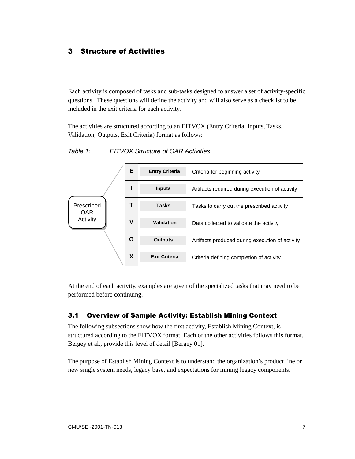# 3 Structure of Activities

Each activity is composed of tasks and sub-tasks designed to answer a set of activity-specific questions. These questions will define the activity and will also serve as a checklist to be included in the exit criteria for each activity.

The activities are structured according to an EITVOX (Entry Criteria, Inputs, Tasks, Validation, Outputs, Exit Criteria) format as follows:

|                          | Е | <b>Entry Criteria</b> | Criteria for beginning activity                 |
|--------------------------|---|-----------------------|-------------------------------------------------|
|                          |   | <b>Inputs</b>         | Artifacts required during execution of activity |
| Prescribed<br><b>OAR</b> | Т | <b>Tasks</b>          | Tasks to carry out the prescribed activity      |
| Activity                 | ٧ | Validation            | Data collected to validate the activity         |
|                          | O | <b>Outputs</b>        | Artifacts produced during execution of activity |
|                          | X | <b>Exit Criteria</b>  | Criteria defining completion of activity        |

*Table 1: EITVOX Structure of OAR Activities* 

At the end of each activity, examples are given of the specialized tasks that may need to be performed before continuing.

### 3.1 Overview of Sample Activity: Establish Mining Context

The following subsections show how the first activity, Establish Mining Context, is structured according to the EITVOX format. Each of the other activities follows this format. Bergey et al., provide this level of detail [Bergey 01].

The purpose of Establish Mining Context is to understand the organization's product line or new single system needs, legacy base, and expectations for mining legacy components.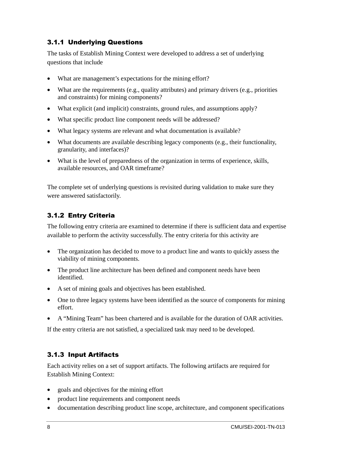### 3.1.1 Underlying Questions

The tasks of Establish Mining Context were developed to address a set of underlying questions that include

- What are management's expectations for the mining effort?
- What are the requirements (e.g., quality attributes) and primary drivers (e.g., priorities and constraints) for mining components?
- What explicit (and implicit) constraints, ground rules, and assumptions apply?
- What specific product line component needs will be addressed?
- What legacy systems are relevant and what documentation is available?
- What documents are available describing legacy components (e.g., their functionality, granularity, and interfaces)?
- What is the level of preparedness of the organization in terms of experience, skills, available resources, and OAR timeframe?

The complete set of underlying questions is revisited during validation to make sure they were answered satisfactorily.

# 3.1.2 Entry Criteria

The following entry criteria are examined to determine if there is sufficient data and expertise available to perform the activity successfully. The entry criteria for this activity are

- The organization has decided to move to a product line and wants to quickly assess the viability of mining components.
- The product line architecture has been defined and component needs have been identified.
- A set of mining goals and objectives has been established.
- One to three legacy systems have been identified as the source of components for mining effort.
- A "Mining Team" has been chartered and is available for the duration of OAR activities.

If the entry criteria are not satisfied, a specialized task may need to be developed.

### 3.1.3 Input Artifacts

Each activity relies on a set of support artifacts. The following artifacts are required for Establish Mining Context:

- goals and objectives for the mining effort
- product line requirements and component needs
- documentation describing product line scope, architecture, and component specifications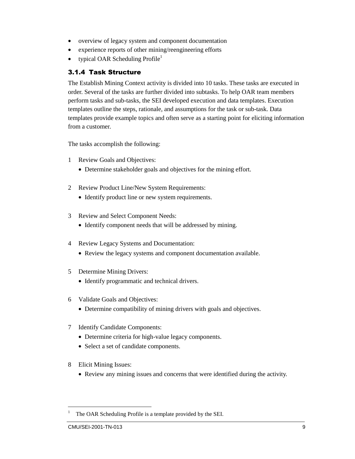- overview of legacy system and component documentation
- experience reports of other mining/reengineering efforts
- typical OAR Scheduling Profile<sup>1</sup>

### 3.1.4 Task Structure

The Establish Mining Context activity is divided into 10 tasks. These tasks are executed in order. Several of the tasks are further divided into subtasks. To help OAR team members perform tasks and sub-tasks, the SEI developed execution and data templates. Execution templates outline the steps, rationale, and assumptions for the task or sub-task. Data templates provide example topics and often serve as a starting point for eliciting information from a customer.

The tasks accomplish the following:

- 1 Review Goals and Objectives:
	- Determine stakeholder goals and objectives for the mining effort.
- 2 Review Product Line/New System Requirements:
	- Identify product line or new system requirements.
- 3 Review and Select Component Needs:
	- Identify component needs that will be addressed by mining.
- 4 Review Legacy Systems and Documentation:
	- Review the legacy systems and component documentation available.
- 5 Determine Mining Drivers:
	- Identify programmatic and technical drivers.
- 6 Validate Goals and Objectives:
	- Determine compatibility of mining drivers with goals and objectives.
- 7 Identify Candidate Components:
	- Determine criteria for high-value legacy components.
	- Select a set of candidate components.
- 8 Elicit Mining Issues:
	- Review any mining issues and concerns that were identified during the activity.

l

<sup>1</sup> The OAR Scheduling Profile is a template provided by the SEI.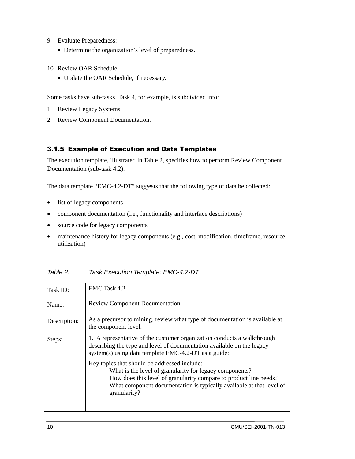- 9 Evaluate Preparedness:
	- Determine the organization's level of preparedness.
- 10 Review OAR Schedule:
	- Update the OAR Schedule, if necessary.

Some tasks have sub-tasks. Task 4, for example, is subdivided into:

- 1 Review Legacy Systems.
- 2 Review Component Documentation.

#### 3.1.5 Example of Execution and Data Templates

The execution template, illustrated in Table 2, specifies how to perform Review Component Documentation (sub-task 4.2).

The data template "EMC-4.2-DT" suggests that the following type of data be collected:

- list of legacy components
- component documentation (i.e., functionality and interface descriptions)
- source code for legacy components
- maintenance history for legacy components (e.g., cost, modification, timeframe, resource utilization)

|  | Table 2: | Task Execution Template: EMC-4.2-DT |  |  |
|--|----------|-------------------------------------|--|--|
|--|----------|-------------------------------------|--|--|

| Task ID:     | EMC Task 4.2                                                                                                                                                                                                                                                         |
|--------------|----------------------------------------------------------------------------------------------------------------------------------------------------------------------------------------------------------------------------------------------------------------------|
| Name:        | Review Component Documentation.                                                                                                                                                                                                                                      |
| Description: | As a precursor to mining, review what type of documentation is available at<br>the component level.                                                                                                                                                                  |
| Steps:       | 1. A representative of the customer organization conducts a walkthrough<br>describing the type and level of documentation available on the legacy<br>system(s) using data template EMC-4.2-DT as a guide:                                                            |
|              | Key topics that should be addressed include:<br>What is the level of granularity for legacy components?<br>How does this level of granularity compare to product line needs?<br>What component documentation is typically available at that level of<br>granularity? |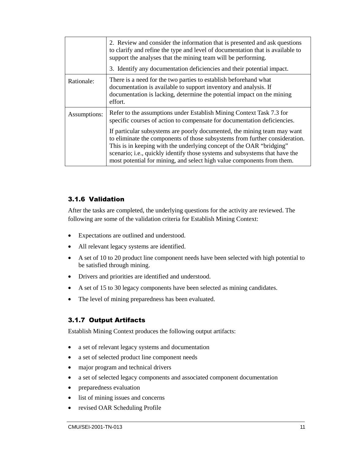|              | 2. Review and consider the information that is presented and ask questions<br>to clarify and refine the type and level of documentation that is available to<br>support the analyses that the mining team will be performing.<br>3. Identify any documentation deficiencies and their potential impact.                                                                                                                                                                                                                                      |
|--------------|----------------------------------------------------------------------------------------------------------------------------------------------------------------------------------------------------------------------------------------------------------------------------------------------------------------------------------------------------------------------------------------------------------------------------------------------------------------------------------------------------------------------------------------------|
| Rationale:   | There is a need for the two parties to establish beforehand what<br>documentation is available to support inventory and analysis. If<br>documentation is lacking, determine the potential impact on the mining<br>effort.                                                                                                                                                                                                                                                                                                                    |
| Assumptions: | Refer to the assumptions under Establish Mining Context Task 7.3 for<br>specific courses of action to compensate for documentation deficiencies.<br>If particular subsystems are poorly documented, the mining team may want<br>to eliminate the components of those subsystems from further consideration.<br>This is in keeping with the underlying concept of the OAR "bridging"<br>scenario; i.e., quickly identify those systems and subsystems that have the<br>most potential for mining, and select high value components from them. |

#### 3.1.6 Validation

After the tasks are completed, the underlying questions for the activity are reviewed. The following are some of the validation criteria for Establish Mining Context:

- Expectations are outlined and understood.
- All relevant legacy systems are identified.
- A set of 10 to 20 product line component needs have been selected with high potential to be satisfied through mining.
- Drivers and priorities are identified and understood.
- A set of 15 to 30 legacy components have been selected as mining candidates.
- The level of mining preparedness has been evaluated.

### 3.1.7 Output Artifacts

Establish Mining Context produces the following output artifacts:

- a set of relevant legacy systems and documentation
- a set of selected product line component needs
- major program and technical drivers
- a set of selected legacy components and associated component documentation
- preparedness evaluation
- list of mining issues and concerns
- revised OAR Scheduling Profile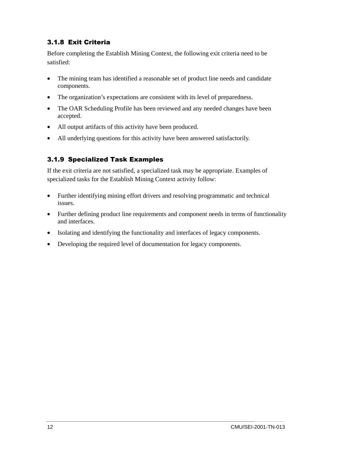## 3.1.8 Exit Criteria

Before completing the Establish Mining Context, the following exit criteria need to be satisfied:

- The mining team has identified a reasonable set of product line needs and candidate components.
- The organization's expectations are consistent with its level of preparedness.
- The OAR Scheduling Profile has been reviewed and any needed changes have been accepted.
- All output artifacts of this activity have been produced.
- All underlying questions for this activity have been answered satisfactorily.

# 3.1.9 Specialized Task Examples

If the exit criteria are not satisfied, a specialized task may be appropriate. Examples of specialized tasks for the Establish Mining Context activity follow:

- Further identifying mining effort drivers and resolving programmatic and technical issues.
- Further defining product line requirements and component needs in terms of functionality and interfaces.
- Isolating and identifying the functionality and interfaces of legacy components.
- Developing the required level of documentation for legacy components.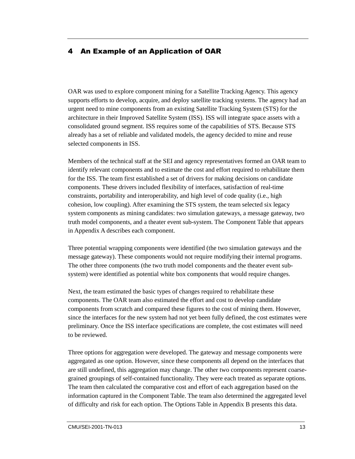# 4 An Example of an Application of OAR

OAR was used to explore component mining for a Satellite Tracking Agency. This agency supports efforts to develop, acquire, and deploy satellite tracking systems. The agency had an urgent need to mine components from an existing Satellite Tracking System (STS) for the architecture in their Improved Satellite System (ISS). ISS will integrate space assets with a consolidated ground segment. ISS requires some of the capabilities of STS. Because STS already has a set of reliable and validated models, the agency decided to mine and reuse selected components in ISS.

Members of the technical staff at the SEI and agency representatives formed an OAR team to identify relevant components and to estimate the cost and effort required to rehabilitate them for the ISS. The team first established a set of drivers for making decisions on candidate components. These drivers included flexibility of interfaces, satisfaction of real-time constraints, portability and interoperability, and high level of code quality (i.e., high cohesion, low coupling). After examining the STS system, the team selected six legacy system components as mining candidates: two simulation gateways, a message gateway, two truth model components, and a theater event sub-system. The Component Table that appears in Appendix A describes each component.

Three potential wrapping components were identified (the two simulation gateways and the message gateway). These components would not require modifying their internal programs. The other three components (the two truth model components and the theater event subsystem) were identified as potential white box components that would require changes.

Next, the team estimated the basic types of changes required to rehabilitate these components. The OAR team also estimated the effort and cost to develop candidate components from scratch and compared these figures to the cost of mining them. However, since the interfaces for the new system had not yet been fully defined, the cost estimates were preliminary. Once the ISS interface specifications are complete, the cost estimates will need to be reviewed.

Three options for aggregation were developed. The gateway and message components were aggregated as one option. However, since these components all depend on the interfaces that are still undefined, this aggregation may change. The other two components represent coarsegrained groupings of self-contained functionality. They were each treated as separate options. The team then calculated the comparative cost and effort of each aggregation based on the information captured in the Component Table. The team also determined the aggregated level of difficulty and risk for each option. The Options Table in Appendix B presents this data.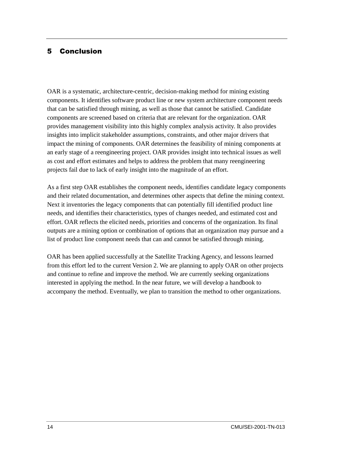### 5 Conclusion

OAR is a systematic, architecture-centric, decision-making method for mining existing components. It identifies software product line or new system architecture component needs that can be satisfied through mining, as well as those that cannot be satisfied. Candidate components are screened based on criteria that are relevant for the organization. OAR provides management visibility into this highly complex analysis activity. It also provides insights into implicit stakeholder assumptions, constraints, and other major drivers that impact the mining of components. OAR determines the feasibility of mining components at an early stage of a reengineering project. OAR provides insight into technical issues as well as cost and effort estimates and helps to address the problem that many reengineering projects fail due to lack of early insight into the magnitude of an effort.

As a first step OAR establishes the component needs, identifies candidate legacy components and their related documentation, and determines other aspects that define the mining context. Next it inventories the legacy components that can potentially fill identified product line needs, and identifies their characteristics, types of changes needed, and estimated cost and effort. OAR reflects the elicited needs, priorities and concerns of the organization. Its final outputs are a mining option or combination of options that an organization may pursue and a list of product line component needs that can and cannot be satisfied through mining.

OAR has been applied successfully at the Satellite Tracking Agency, and lessons learned from this effort led to the current Version 2. We are planning to apply OAR on other projects and continue to refine and improve the method. We are currently seeking organizations interested in applying the method. In the near future, we will develop a handbook to accompany the method. Eventually, we plan to transition the method to other organizations.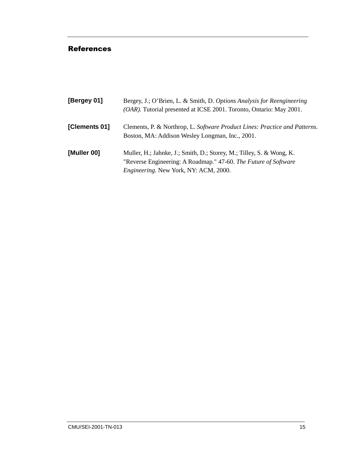#### References

| [Bergey 01]   | Bergey, J.; O'Brien, L. & Smith, D. Options Analysis for Reengineering<br>(OAR). Tutorial presented at ICSE 2001. Toronto, Ontario: May 2001.                                           |
|---------------|-----------------------------------------------------------------------------------------------------------------------------------------------------------------------------------------|
| [Clements 01] | Clements, P. & Northrop, L. Software Product Lines: Practice and Patterns.<br>Boston, MA: Addison Wesley Longman, Inc., 2001.                                                           |
| [Muller 00]   | Muller, H.; Jahnke, J.; Smith, D.; Storey, M.; Tilley, S. & Wong, K.<br>"Reverse Engineering: A Roadmap." 47-60. The Future of Software<br><i>Engineering.</i> New York, NY: ACM, 2000. |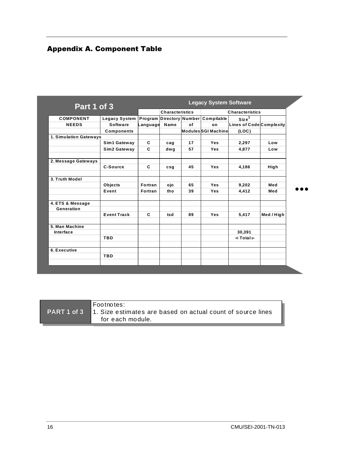## Appendix A. Component Table

| Part 1 of 3            |                      |          |                        |    | <b>Legacy System Software</b> |                          |            |
|------------------------|----------------------|----------|------------------------|----|-------------------------------|--------------------------|------------|
|                        |                      |          | <b>Characteristics</b> |    |                               | <b>Characteristics</b>   |            |
| <b>COMPONENT</b>       | <b>Legacy System</b> | Program  |                        |    | Directory Number Compilable   | Size <sup>1</sup>        |            |
| <b>NEEDS</b>           | <b>Software</b>      | Language | Name                   | of | on                            | Lines of Code Complexity |            |
|                        | <b>Components</b>    |          |                        |    | <b>ModulesSGI Machine</b>     | (LOC)                    |            |
| 1. Simulation Gateways |                      |          |                        |    |                               |                          |            |
|                        | Sim1 Gateway         | C        | cag                    | 17 | Yes                           | 2,297                    | Low        |
|                        | Sim2 Gateway         | C        | dwg                    | 57 | <b>Yes</b>                    | 4,877                    | Low        |
|                        |                      |          |                        |    |                               |                          |            |
| 2. Message Gateways    | C-Source             | C        | csg                    | 45 | Yes                           | 4,186                    | High       |
|                        |                      |          |                        |    |                               |                          |            |
| 3. Truth Model         |                      |          |                        |    |                               |                          |            |
|                        | Objects              | Fortran  | ojo                    | 65 | <b>Yes</b>                    | 9.202                    | Med        |
|                        | Event                | Fortran  | tho                    | 39 | Yes                           | 4.412                    | Med        |
| 4. ETS & Message       |                      |          |                        |    |                               |                          |            |
| Generation             |                      |          |                        |    |                               |                          |            |
|                        | <b>Event Track</b>   | C        | tsd                    | 89 | Yes                           | 5,417                    | Med / High |
| 5. Man Machine         |                      |          |                        |    |                               |                          |            |
| Interface              |                      |          |                        |    |                               | 30,391                   |            |
|                        | <b>TBD</b>           |          |                        |    |                               | $+Total+$                |            |
|                        |                      |          |                        |    |                               |                          |            |
| 6. Executive           |                      |          |                        |    |                               |                          |            |
|                        | <b>TBD</b>           |          |                        |    |                               |                          |            |

|             | lFootnotes:                                                 |
|-------------|-------------------------------------------------------------|
| PART 1 of 3 | 1. Size estimates are based on actual count of source lines |
|             | for each module.                                            |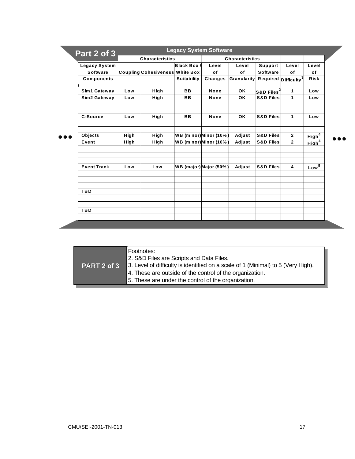| Part 2 of 3          |      | <b>Characteristics</b>                 |                        |                | <b>Characteristics</b> |                          |                                  |                   |
|----------------------|------|----------------------------------------|------------------------|----------------|------------------------|--------------------------|----------------------------------|-------------------|
| <b>Legacy System</b> |      |                                        | Black Box/             | Level          | Level                  | Support                  | Level                            | Level             |
| <b>Software</b>      |      | <b>Coupling Cohesiveness White Box</b> |                        | of             | of                     | <b>Software</b>          | of                               | οf                |
| <b>Components</b>    |      |                                        | <b>Suitability</b>     | <b>Changes</b> | Granularity            |                          | Required Difficulty <sup>3</sup> | <b>Risk</b>       |
|                      |      |                                        |                        |                |                        |                          |                                  |                   |
| Sim1 Gateway         | Low  | High                                   | <b>BB</b>              | None           | <b>OK</b>              | $S&D$ Files <sup>2</sup> | $\mathbf{1}$                     | Low               |
| Sim2 Gateway         | Low  | High                                   | <b>BB</b>              | None           | <b>OK</b>              | <b>S&amp;D Files</b>     | 1                                | Low               |
| <b>C-Source</b>      | Low  | High                                   | <b>BB</b>              | None           | OK                     | <b>S&amp;D Files</b>     | 1                                | Low               |
| Objects              | High | High                                   | WB (minor)Minor (10%)  |                | Adjust                 | <b>S&amp;D Files</b>     | $\overline{2}$                   | High <sup>4</sup> |
| Event                | High | High                                   | WB (minor)Minor (10%)  |                | Adjust                 | <b>S&amp;D Files</b>     | $\overline{2}$                   | High <sup>4</sup> |
| <b>Event Track</b>   | Low  | Low                                    | WB (major) Major (50%) |                | Adjust                 | <b>S&amp;D Files</b>     | $\overline{\mathbf{4}}$          | Low <sup>5</sup>  |
|                      |      |                                        |                        |                |                        |                          |                                  |                   |
| <b>TBD</b>           |      |                                        |                        |                |                        |                          |                                  |                   |
|                      |      |                                        |                        |                |                        |                          |                                  |                   |
| <b>TBD</b>           |      |                                        |                        |                |                        |                          |                                  |                   |

| <b>PART 2 of 3</b> | Footnotes:<br>2. S&D Files are Scripts and Data Files.<br>3. Level of difficulty is identified on a scale of 1 (Minimal) to 5 (Very High).<br>4. These are outside of the control of the organization.<br>5. These are under the control of the organization. |
|--------------------|---------------------------------------------------------------------------------------------------------------------------------------------------------------------------------------------------------------------------------------------------------------|
|--------------------|---------------------------------------------------------------------------------------------------------------------------------------------------------------------------------------------------------------------------------------------------------------|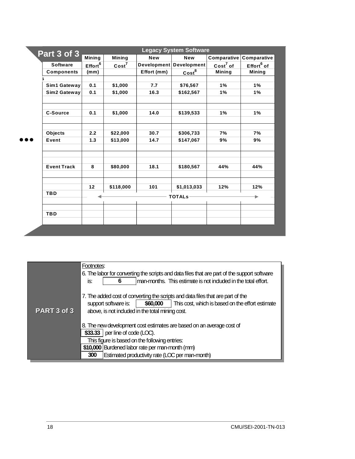| Part 3 of 3 |                    | <b>Legacy System Software</b> |                   |             |                           |                                |                        |  |  |
|-------------|--------------------|-------------------------------|-------------------|-------------|---------------------------|--------------------------------|------------------------|--|--|
|             |                    | Mining                        | Mining            | <b>New</b>  | <b>New</b>                | <b>Comparative Comparative</b> |                        |  |  |
|             | <b>Software</b>    | Effort <sup>6</sup>           | Cost <sup>7</sup> |             | Development   Development | $Cost7$ of                     | Effort <sup>6</sup> of |  |  |
|             | <b>Components</b>  | (mm)                          |                   | Effort (mm) | Cost <sup>8</sup>         | <b>Mining</b>                  | <b>Mining</b>          |  |  |
|             |                    |                               |                   |             |                           |                                |                        |  |  |
|             | Sim1 Gateway       | 0.1                           | \$1,000           | 7.7         | \$76,567                  | 1%                             | 1%                     |  |  |
|             | Sim2 Gateway       | 0.1                           | \$1,000           | 16.3        | \$162,567                 | 1%                             | 1%                     |  |  |
|             |                    |                               |                   |             |                           |                                |                        |  |  |
|             | <b>C-Source</b>    | 0.1                           | \$1,000           | 14.0        | \$139,533                 | 1%                             | 1%                     |  |  |
|             |                    |                               |                   |             |                           |                                |                        |  |  |
|             | Objects            | 2.2                           | \$22,000          | 30.7        | \$306,733                 | 7%                             | 7%                     |  |  |
|             | Event              | 1.3                           | \$13,000          | 14.7        | \$147,067                 | 9%                             | 9%                     |  |  |
|             |                    |                               |                   |             |                           |                                |                        |  |  |
|             | <b>Event Track</b> | 8                             | \$80,000          | 18.1        | \$180,567                 | 44%                            | 44%                    |  |  |
|             |                    |                               |                   |             |                           |                                |                        |  |  |
|             |                    | 12                            | \$118,000         | 101         | \$1,013,033               | 12%                            | 12%                    |  |  |
|             | <b>TBD</b>         |                               |                   |             | <b>TOTALS-</b>            |                                | ►                      |  |  |
|             | <b>TBD</b>         |                               |                   |             |                           |                                |                        |  |  |
|             |                    |                               |                   |             |                           |                                |                        |  |  |

|                                                 | Footnotes:                                                                                   |  |  |  |  |  |  |  |
|-------------------------------------------------|----------------------------------------------------------------------------------------------|--|--|--|--|--|--|--|
|                                                 | 6. The labor for converting the scripts and data files that are part of the support software |  |  |  |  |  |  |  |
|                                                 | man-months. This estimate is not induded in the total effort.<br>is:                         |  |  |  |  |  |  |  |
|                                                 |                                                                                              |  |  |  |  |  |  |  |
|                                                 | 7. The added cost of converting the scripts and data files that are part of the              |  |  |  |  |  |  |  |
|                                                 | This cost, which is based on the effort estimate<br>\$60,000<br>support software is:         |  |  |  |  |  |  |  |
| PART 3 of 3                                     | above, is not induded in the total mining cost.                                              |  |  |  |  |  |  |  |
|                                                 |                                                                                              |  |  |  |  |  |  |  |
|                                                 | 8. The new development cost estimates are based on an average cost of                        |  |  |  |  |  |  |  |
|                                                 | $$33.33$   per line of code (LOC).                                                           |  |  |  |  |  |  |  |
|                                                 | This figure is based on the following entries:                                               |  |  |  |  |  |  |  |
| \$10,000 Burdened labor rate per man-month (mm) |                                                                                              |  |  |  |  |  |  |  |
|                                                 | Estimated productivity rate (LCC per man-month)                                              |  |  |  |  |  |  |  |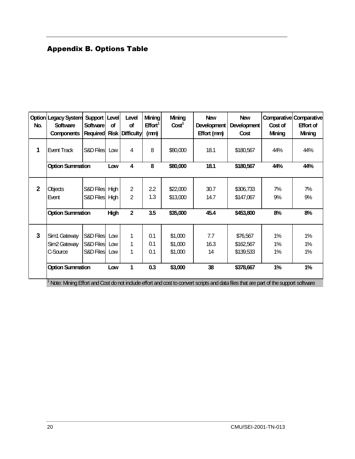## **Appendix B. Options Table**

| No.            | <b>Option Legacy System</b><br><b>Software</b><br><b>Components</b> | Support<br>Software<br><b>Required</b> | Level<br>of<br><b>Risk</b> | Level<br>of<br><b>Difficulty</b> | <b>Mining</b><br>Effort <sup>1</sup><br>(mm) | <b>Mining</b><br>Cost <sup>1</sup> | <b>New</b><br><b>Development</b><br>Effort (mm) | <b>New</b><br><b>Development</b><br>Cost | Cost of<br><b>Mining</b> | <b>Comparative Comparative</b><br><b>Effort of</b><br><b>Mining</b> |
|----------------|---------------------------------------------------------------------|----------------------------------------|----------------------------|----------------------------------|----------------------------------------------|------------------------------------|-------------------------------------------------|------------------------------------------|--------------------------|---------------------------------------------------------------------|
| 1              | <b>Event Track</b>                                                  | S&D Files                              | Low                        | 4                                | 8                                            | \$80,000                           | 18.1                                            | \$180,567                                | 44%                      | 44%                                                                 |
|                | <b>Option Summation</b>                                             |                                        | Low                        | $\overline{\mathbf{4}}$          | 8                                            | \$80,000                           | 18.1                                            | \$180,567                                | 44%                      | 44%                                                                 |
| $\overline{2}$ | Objects<br>Event                                                    | S&D Files<br>S&D Files High            | <b>High</b>                | 2<br>$\overline{2}$              | 2.2<br>1.3                                   | \$22,000<br>\$13,000               | 30.7<br>14.7                                    | \$306,733<br>\$147,067                   | 7%<br>9%                 | 7%<br>9%                                                            |
|                | <b>Option Summation</b>                                             |                                        | <b>High</b>                | $\overline{2}$                   | 3.5                                          | \$35,000                           | 45.4                                            | \$453,800                                | 8%                       | 8%                                                                  |
| $\overline{3}$ | Sim1 Gateway<br>Sim <sub>2</sub> Gateway<br>C-Source                | S&D Files<br>S&D Files<br>S&D Files    | Low<br>Low<br>Low          | 1<br>1<br>1                      | 0.1<br>0.1<br>0.1                            | \$1,000<br>\$1,000<br>\$1,000      | 7.7<br>16.3<br>14                               | \$76,567<br>\$162,567<br>\$139,533       | $1\%$<br>1%<br>$1\%$     | $1\%$<br>1%<br>1%                                                   |
|                | <b>Option Summation</b>                                             |                                        | Low                        | 1                                | 0.3                                          | \$3,000                            | 38                                              | \$378,667                                | 1%                       | 1%                                                                  |

 $1$  Note: Mining Effort and Cost do not include effort and cost to convert scripts and data files that are part of the support software